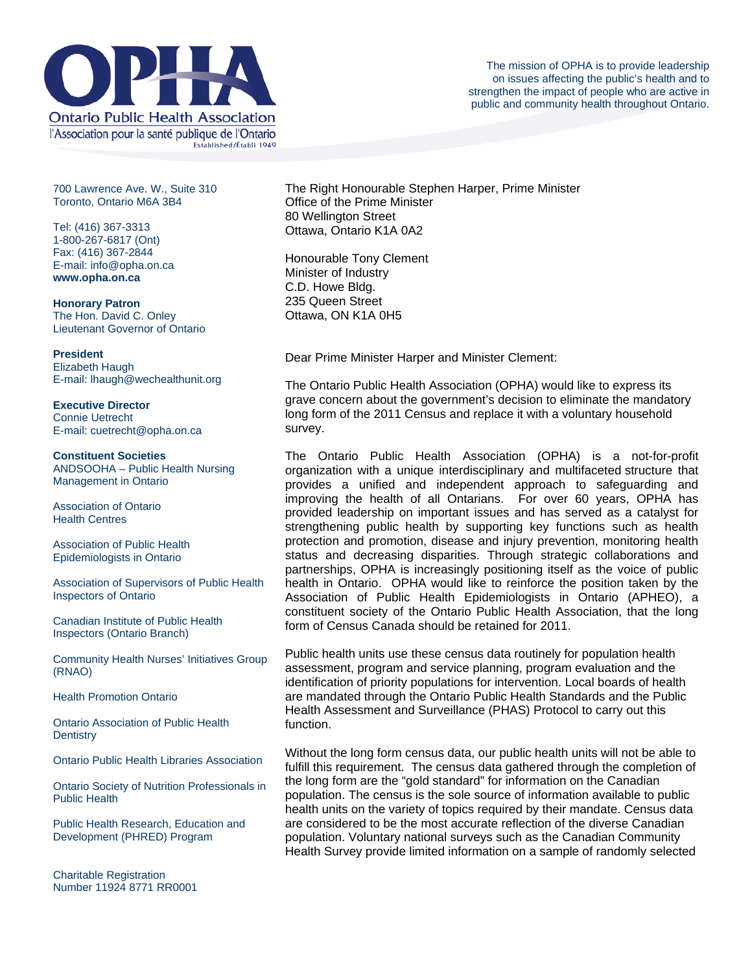

700 Lawrence Ave. W., Suite 310 Toronto, Ontario M6A 3B4

Tel: (416) 367-3313 1-800-267-6817 (Ont) Fax: (416) 367-2844 E-mail: info@opha.on.ca **www.opha.on.ca** 

**Honorary Patron**  The Hon. David C. Onley Lieutenant Governor of Ontario

## **President**

Elizabeth Haugh E-mail: lhaugh@wechealthunit.org

**Executive Director**  Connie Uetrecht E-mail: cuetrecht@opha.on.ca

## **Constituent Societies**

ANDSOOHA – Public Health Nursing Management in Ontario

Association of Ontario Health Centres

Association of Public Health Epidemiologists in Ontario

Association of Supervisors of Public Health Inspectors of Ontario

Canadian Institute of Public Health Inspectors (Ontario Branch)

Community Health Nurses' Initiatives Group (RNAO)

Health Promotion Ontario

Ontario Association of Public Health **Dentistry** 

Ontario Public Health Libraries Association

Ontario Society of Nutrition Professionals in Public Health

Public Health Research, Education and Development (PHRED) Program

Charitable Registration Number 11924 8771 RR0001 The Right Honourable Stephen Harper, Prime Minister Office of the Prime Minister 80 Wellington Street Ottawa, Ontario K1A 0A2

Honourable Tony Clement Minister of Industry C.D. Howe Bldg. 235 Queen Street Ottawa, ON K1A 0H5

Dear Prime Minister Harper and Minister Clement:

The Ontario Public Health Association (OPHA) would like to express its grave concern about the government's decision to eliminate the mandatory long form of the 2011 Census and replace it with a voluntary household survey.

The Ontario Public Health Association (OPHA) is a not-for-profit organization with a unique interdisciplinary and multifaceted structure that provides a unified and independent approach to safeguarding and improving the health of all Ontarians. For over 60 years, OPHA has provided leadership on important issues and has served as a catalyst for strengthening public health by supporting key functions such as health protection and promotion, disease and injury prevention, monitoring health status and decreasing disparities. Through strategic collaborations and partnerships, OPHA is increasingly positioning itself as the voice of public health in Ontario. OPHA would like to reinforce the position taken by the Association of Public Health Epidemiologists in Ontario (APHEO), a constituent society of the Ontario Public Health Association, that the long form of Census Canada should be retained for 2011.

Public health units use these census data routinely for population health assessment, program and service planning, program evaluation and the identification of priority populations for intervention. Local boards of health are mandated through the Ontario Public Health Standards and the Public Health Assessment and Surveillance (PHAS) Protocol to carry out this function.

Without the long form census data, our public health units will not be able to fulfill this requirement. The census data gathered through the completion of the long form are the "gold standard" for information on the Canadian population. The census is the sole source of information available to public health units on the variety of topics required by their mandate. Census data are considered to be the most accurate reflection of the diverse Canadian population. Voluntary national surveys such as the Canadian Community Health Survey provide limited information on a sample of randomly selected